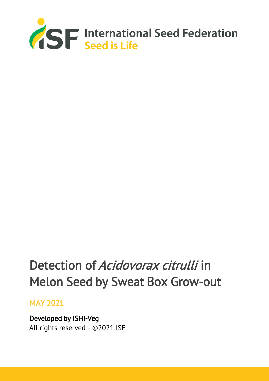

# Detection of Acidovorax citrulli in Melon Seed by Sweat Box Grow-out

## MAY 2021

Developed by ISHI-Veg All rights reserved - ©2021 ISF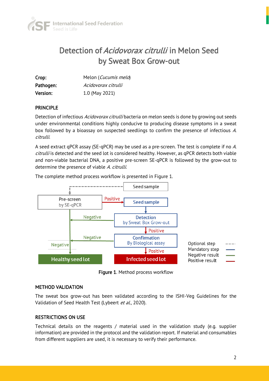

# Detection of Acidovorax citrulli in Melon Seed by Sweat Box Grow-out

| Crop:     | Melon (Cucumis melo) |
|-----------|----------------------|
| Pathogen: | Acidovorax citrulli  |
| Version:  | 1.0 (May 2021)       |

## **PRINCIPLE**

Detection of infectious *Acidovorax citrulli* bacteria on melon seeds is done by growing out seeds under environmental conditions highly conducive to producing disease symptoms in a sweat box followed by a bioassay on suspected seedlings to confirm the presence of infectious A. citrulli.

A seed extract qPCR assay (SE-qPCR) may be used as a pre-screen. The test is complete if no A. citrulli is detected and the seed lot is considered healthy. However, as qPCR detects both viable and non-viable bacterial DNA, a positive pre-screen SE-qPCR is followed by the grow-out to determine the presence of viable A. citrulli.

The complete method process workflow is presented in Figure 1.



Figure 1. Method process workflow

### METHOD VALIDATION

The sweat box grow-out has been validated according to the ISHI-Veg Guidelines for the Validation of Seed Health Test (Lybeert et al., 2020).

## RESTRICTIONS ON USE

Technical details on the reagents / material used in the validation study (e.g. supplier information) are provided in the protocol and the validation report. If material and consumables from different suppliers are used, it is necessary to verify their performance.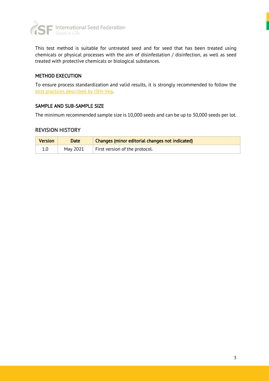

This test method is suitable for untreated seed and for seed that has been treated using chemicals or physical processes with the aim of disinfestation / disinfection, as well as seed treated with protective chemicals or biological substances.

## METHOD EXECUTION

To ensure process standardization and valid results, it is strongly recommended to follow the [best practices described by ISHI-Veg.](https://www.worldseed.org/our-work/phytosanitary-matters/seed-health/ishi-veg-method-development/)

### SAMPLE AND SUB-SAMPLE SIZE

The minimum recommended sample size is 10,000 seeds and can be up to 30,000 seeds per lot.

#### REVISION HISTORY

| <b>Version</b> | Date     | Changes (minor editorial changes not indicated) |
|----------------|----------|-------------------------------------------------|
|                | May 2021 | First version of the protocol.                  |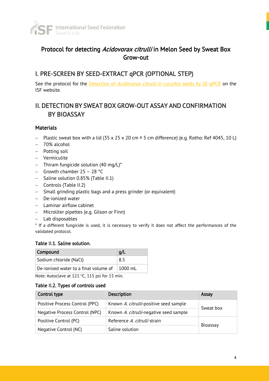

## Protocol for detecting Acidovorax citrulli in Melon Seed by Sweat Box Grow-out

## I. PRE-SCREEN BY SEED-EXTRACT qPCR (OPTIONAL STEP)

See the protocol for the Detection of *Acidovorax citrulli* [in cucurbit seeds by SE-qPCR](https://www.worldseed.org/our-work/phytosanitary-matters/seed-health/ishi-veg-protocols/) on the ISF website.

## II. DETECTION BY SWEAT BOX GROW-OUT ASSAY AND CONFIRMATION BY BIOASSAY

## **Materials**

- − Plastic sweat box with a lid (35 x 25 x 20 cm ± 5 cm difference) (e.g. Rotho: Ref 4045, 10 L)
- − 70% alcohol
- − Potting soil
- − Vermiculite
- − Thiram fungicide solution (40 mg/L)\*
- − Growth chamber 25 28 °C
- − Saline solution 0.85% (Table II.1)
- − Controls (Table II.2)
- − Small grinding plastic bags and a press grinder (or equivalent)
- − De-ionized water
- − Laminar airflow cabinet
- − Microliter pipettes (e.g. Gilson or Finn)
- − Lab disposables

\* If a different fungicide is used, it is necessary to verify it does not affect the performances of the validated protocol.

### Table II.1. Saline solution.

| <b>Compound</b>                       | q/L      |
|---------------------------------------|----------|
| Sodium chloride (NaCl)                | 8.5      |
| De-ionised water to a final volume of | ⊺1000 ml |

Note: Autoclave at 121 °C, 115 psi for 15 min.

### Table II.2. Types of controls used

| Control type                   | <b>Description</b>                     | Assay     |
|--------------------------------|----------------------------------------|-----------|
| Positive Process Control (PPC) | Known A. citrulli-positive seed sample | Sweat box |
| Negative Process Control (NPC) | Known A. citrulli-negative seed sample |           |
| Positive Control (PC)          | Reference A. citrulli strain           | Bioassay  |
| Negative Control (NC)          | Saline solution                        |           |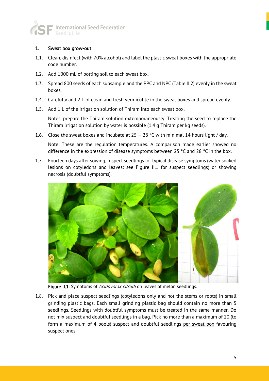

## 1. Sweat box grow-out

- 1.1. Clean, disinfect (with 70% alcohol) and label the plastic sweat boxes with the appropriate code number.
- 1.2. Add 1000 mL of potting soil to each sweat box.
- 1.3. Spread 800 seeds of each subsample and the PPC and NPC (Table II.2) evenly in the sweat boxes.
- 1.4. Carefully add 2 L of clean and fresh vermiculite in the sweat boxes and spread evenly.
- 1.5. Add 1 L of the irrigation solution of Thiram into each sweat box.

Notes: prepare the Thiram solution extemporaneously. Treating the seed to replace the Thiram irrigation solution by water is possible (1.4 g Thiram per kg seeds).

1.6. Close the sweat boxes and incubate at  $25 - 28$  °C with minimal 14 hours light / day.

Note: These are the regulation temperatures. A comparison made earlier showed no difference in the expression of disease symptoms between 25 °C and 28 °C in the box.

1.7. Fourteen days after sowing, inspect seedlings for typical disease symptoms (water soaked lesions on cotyledons and leaves: see Figure II.1 for suspect seedlings) or showing necrosis (doubtful symptoms).



Figure II.1. Symptoms of Acidovorax citrulli on leaves of melon seedlings.

1.8. Pick and place suspect seedlings (cotyledons only and not the stems or roots) in small grinding plastic bags. Each small grinding plastic bag should contain no more than 5 seedlings. Seedlings with doubtful symptoms must be treated in the same manner. Do not mix suspect and doubtful seedlings in a bag. Pick no more than a maximum of 20 (to form a maximum of 4 pools) suspect and doubtful seedlings per sweat box favouring suspect ones.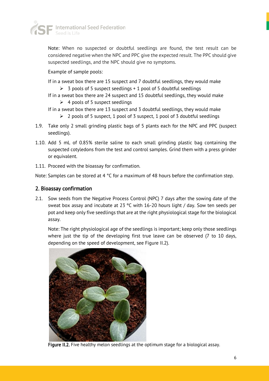

Note: When no suspected or doubtful seedlings are found, the test result can be considered negative when the NPC and PPC give the expected result. The PPC should give suspected seedlings, and the NPC should give no symptoms.

Example of sample pools:

- If in a sweat box there are 15 suspect and 7 doubtful seedlings, they would make
	- $\geq 3$  pools of 5 suspect seedlings + 1 pool of 5 doubtful seedlings
- If in a sweat box there are 24 suspect and 15 doubtful seedlings, they would make  $\triangleright$  4 pools of 5 suspect seedlings
- If in a sweat box there are 13 suspect and 3 doubtful seedlings, they would make
	- $\geq 2$  pools of 5 suspect, 1 pool of 3 suspect, 1 pool of 3 doubtful seedlings
- 1.9. Take only 2 small grinding plastic bags of 5 plants each for the NPC and PPC (suspect seedlings).
- 1.10. Add 5 mL of 0.85% sterile saline to each small grinding plastic bag containing the suspected cotyledons from the test and control samples. Grind them with a press grinder or equivalent.
- 1.11. Proceed with the bioassay for confirmation.

Note: Samples can be stored at 4 °C for a maximum of 48 hours before the confirmation step.

## 2. Bioassay confirmation

2.1. Sow seeds from the Negative Process Control (NPC) 7 days after the sowing date of the sweat box assay and incubate at 23 ºC with 16-20 hours light / day. Sow ten seeds per pot and keep only five seedlings that are at the right physiological stage for the biological assay.

Note: The right physiological age of the seedlings is important; keep only those seedlings where just the tip of the developing first true leave can be observed (7 to 10 days, depending on the speed of development, see Figure II.2).



Figure II.2. Five healthy melon seedlings at the optimum stage for a biological assay.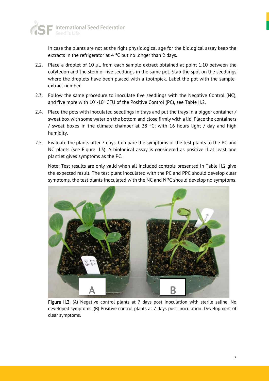

In case the plants are not at the right physiological age for the biological assay keep the extracts in the refrigerator at 4 °C but no longer than 2 days.

- 2.2. Place a droplet of 10 µL from each sample extract obtained at point 1.10 between the cotyledon and the stem of five seedlings in the same pot. Stab the spot on the seedlings where the droplets have been placed with a toothpick. Label the pot with the sampleextract number.
- 2.3. Follow the same procedure to inoculate five seedlings with the Negative Control (NC), and five more with  $10^5$ - $10^8$  CFU of the Positive Control (PC), see Table II.2.
- 2.4. Place the pots with inoculated seedlings in trays and put the trays in a bigger container / sweat box with some water on the bottom and close firmly with a lid. Place the containers / sweat boxes in the climate chamber at 28 °C; with 16 hours light / day and high humidity.
- 2.5. Evaluate the plants after 7 days. Compare the symptoms of the test plants to the PC and NC plants (see Figure II.3). A biological assay is considered as positive if at least one plantlet gives symptoms as the PC.

Note: Test results are only valid when all included controls presented in Table II.2 give the expected result. The test plant inoculated with the PC and PPC should develop clear symptoms, the test plants inoculated with the NC and NPC should develop no symptoms.



Figure II.3. (A) Negative control plants at 7 days post inoculation with sterile saline. No developed symptoms. (B) Positive control plants at 7 days post inoculation. Development of clear symptoms.